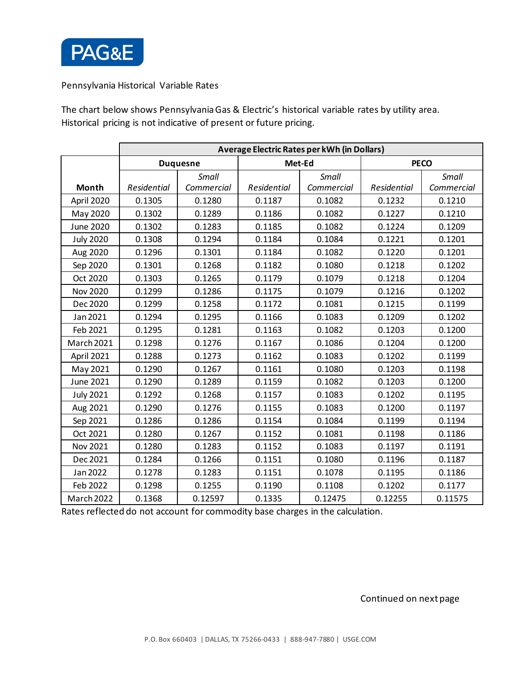

Pennsylvania Historical Variable Rates

The chart below shows Pennsylvania Gas & Electric's historical variable rates by utility area. Historical pricing is not indicative of present or future pricing.

|                  | Average Electric Rates per kWh (in Dollars) |            |             |            |                    |            |
|------------------|---------------------------------------------|------------|-------------|------------|--------------------|------------|
|                  | <b>Duquesne</b>                             |            | Met-Ed      |            | <b>PECO</b>        |            |
|                  |                                             | Small      |             | Small      |                    | Small      |
| Month            | Residential                                 | Commercial | Residential | Commercial | <b>Residential</b> | Commercial |
| April 2020       | 0.1305                                      | 0.1280     | 0.1187      | 0.1082     | 0.1232             | 0.1210     |
| May 2020         | 0.1302                                      | 0.1289     | 0.1186      | 0.1082     | 0.1227             | 0.1210     |
| June 2020        | 0.1302                                      | 0.1283     | 0.1185      | 0.1082     | 0.1224             | 0.1209     |
| <b>July 2020</b> | 0.1308                                      | 0.1294     | 0.1184      | 0.1084     | 0.1221             | 0.1201     |
| Aug 2020         | 0.1296                                      | 0.1301     | 0.1184      | 0.1082     | 0.1220             | 0.1201     |
| Sep 2020         | 0.1301                                      | 0.1268     | 0.1182      | 0.1080     | 0.1218             | 0.1202     |
| Oct 2020         | 0.1303                                      | 0.1265     | 0.1179      | 0.1079     | 0.1218             | 0.1204     |
| <b>Nov 2020</b>  | 0.1299                                      | 0.1286     | 0.1175      | 0.1079     | 0.1216             | 0.1202     |
| Dec 2020         | 0.1299                                      | 0.1258     | 0.1172      | 0.1081     | 0.1215             | 0.1199     |
| Jan 2021         | 0.1294                                      | 0.1295     | 0.1166      | 0.1083     | 0.1209             | 0.1202     |
| Feb 2021         | 0.1295                                      | 0.1281     | 0.1163      | 0.1082     | 0.1203             | 0.1200     |
| March 2021       | 0.1298                                      | 0.1276     | 0.1167      | 0.1086     | 0.1204             | 0.1200     |
| April 2021       | 0.1288                                      | 0.1273     | 0.1162      | 0.1083     | 0.1202             | 0.1199     |
| May 2021         | 0.1290                                      | 0.1267     | 0.1161      | 0.1080     | 0.1203             | 0.1198     |
| June 2021        | 0.1290                                      | 0.1289     | 0.1159      | 0.1082     | 0.1203             | 0.1200     |
| <b>July 2021</b> | 0.1292                                      | 0.1268     | 0.1157      | 0.1083     | 0.1202             | 0.1195     |
| Aug 2021         | 0.1290                                      | 0.1276     | 0.1155      | 0.1083     | 0.1200             | 0.1197     |
| Sep 2021         | 0.1286                                      | 0.1286     | 0.1154      | 0.1084     | 0.1199             | 0.1194     |
| Oct 2021         | 0.1280                                      | 0.1267     | 0.1152      | 0.1081     | 0.1198             | 0.1186     |
| Nov 2021         | 0.1280                                      | 0.1283     | 0.1152      | 0.1083     | 0.1197             | 0.1191     |
| Dec 2021         | 0.1284                                      | 0.1266     | 0.1151      | 0.1080     | 0.1196             | 0.1187     |
| Jan 2022         | 0.1278                                      | 0.1283     | 0.1151      | 0.1078     | 0.1195             | 0.1186     |
| Feb 2022         | 0.1298                                      | 0.1255     | 0.1190      | 0.1108     | 0.1202             | 0.1177     |
| March 2022       | 0.1368                                      | 0.12597    | 0.1335      | 0.12475    | 0.12255            | 0.11575    |

Rates reflected do not account for commodity base charges in the calculation.

Continued on next page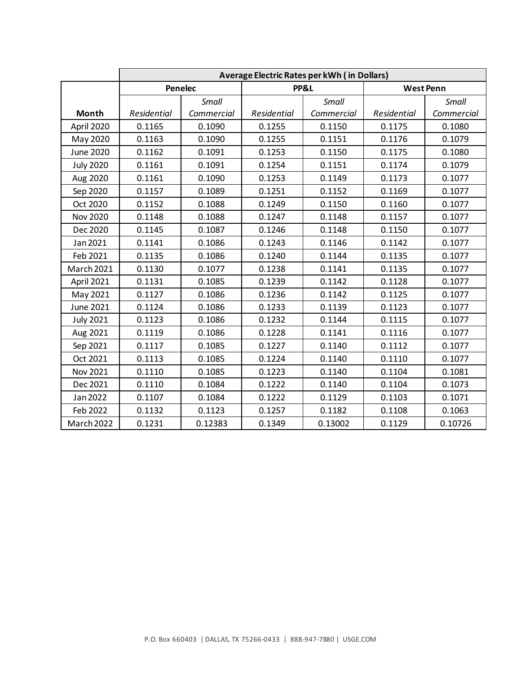|                  | Average Electric Rates per kWh ( in Dollars) |            |             |            |                  |            |
|------------------|----------------------------------------------|------------|-------------|------------|------------------|------------|
|                  | Penelec                                      |            | PP&L        |            | <b>West Penn</b> |            |
|                  |                                              | Small      |             | Small      |                  | Small      |
| Month            | Residential                                  | Commercial | Residential | Commercial | Residential      | Commercial |
| April 2020       | 0.1165                                       | 0.1090     | 0.1255      | 0.1150     | 0.1175           | 0.1080     |
| May 2020         | 0.1163                                       | 0.1090     | 0.1255      | 0.1151     | 0.1176           | 0.1079     |
| June 2020        | 0.1162                                       | 0.1091     | 0.1253      | 0.1150     | 0.1175           | 0.1080     |
| <b>July 2020</b> | 0.1161                                       | 0.1091     | 0.1254      | 0.1151     | 0.1174           | 0.1079     |
| Aug 2020         | 0.1161                                       | 0.1090     | 0.1253      | 0.1149     | 0.1173           | 0.1077     |
| Sep 2020         | 0.1157                                       | 0.1089     | 0.1251      | 0.1152     | 0.1169           | 0.1077     |
| Oct 2020         | 0.1152                                       | 0.1088     | 0.1249      | 0.1150     | 0.1160           | 0.1077     |
| <b>Nov 2020</b>  | 0.1148                                       | 0.1088     | 0.1247      | 0.1148     | 0.1157           | 0.1077     |
| Dec 2020         | 0.1145                                       | 0.1087     | 0.1246      | 0.1148     | 0.1150           | 0.1077     |
| Jan 2021         | 0.1141                                       | 0.1086     | 0.1243      | 0.1146     | 0.1142           | 0.1077     |
| Feb 2021         | 0.1135                                       | 0.1086     | 0.1240      | 0.1144     | 0.1135           | 0.1077     |
| March 2021       | 0.1130                                       | 0.1077     | 0.1238      | 0.1141     | 0.1135           | 0.1077     |
| April 2021       | 0.1131                                       | 0.1085     | 0.1239      | 0.1142     | 0.1128           | 0.1077     |
| May 2021         | 0.1127                                       | 0.1086     | 0.1236      | 0.1142     | 0.1125           | 0.1077     |
| June 2021        | 0.1124                                       | 0.1086     | 0.1233      | 0.1139     | 0.1123           | 0.1077     |
| <b>July 2021</b> | 0.1123                                       | 0.1086     | 0.1232      | 0.1144     | 0.1115           | 0.1077     |
| Aug 2021         | 0.1119                                       | 0.1086     | 0.1228      | 0.1141     | 0.1116           | 0.1077     |
| Sep 2021         | 0.1117                                       | 0.1085     | 0.1227      | 0.1140     | 0.1112           | 0.1077     |
| Oct 2021         | 0.1113                                       | 0.1085     | 0.1224      | 0.1140     | 0.1110           | 0.1077     |
| Nov 2021         | 0.1110                                       | 0.1085     | 0.1223      | 0.1140     | 0.1104           | 0.1081     |
| Dec 2021         | 0.1110                                       | 0.1084     | 0.1222      | 0.1140     | 0.1104           | 0.1073     |
| Jan 2022         | 0.1107                                       | 0.1084     | 0.1222      | 0.1129     | 0.1103           | 0.1071     |
| Feb 2022         | 0.1132                                       | 0.1123     | 0.1257      | 0.1182     | 0.1108           | 0.1063     |
| March 2022       | 0.1231                                       | 0.12383    | 0.1349      | 0.13002    | 0.1129           | 0.10726    |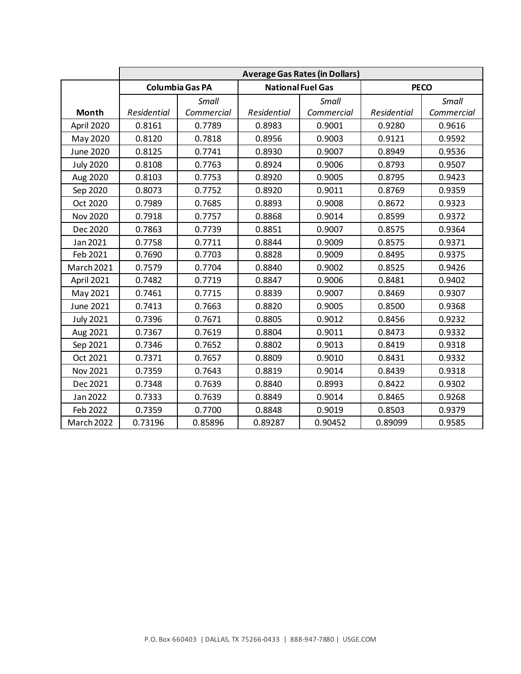|                  | <b>Average Gas Rates (in Dollars)</b> |            |                          |            |             |            |
|------------------|---------------------------------------|------------|--------------------------|------------|-------------|------------|
|                  | <b>Columbia Gas PA</b>                |            | <b>National Fuel Gas</b> |            | <b>PECO</b> |            |
|                  |                                       | Small      |                          | Small      |             | Small      |
| Month            | Residential                           | Commercial | Residential              | Commercial | Residential | Commercial |
| April 2020       | 0.8161                                | 0.7789     | 0.8983                   | 0.9001     | 0.9280      | 0.9616     |
| May 2020         | 0.8120                                | 0.7818     | 0.8956                   | 0.9003     | 0.9121      | 0.9592     |
| June 2020        | 0.8125                                | 0.7741     | 0.8930                   | 0.9007     | 0.8949      | 0.9536     |
| <b>July 2020</b> | 0.8108                                | 0.7763     | 0.8924                   | 0.9006     | 0.8793      | 0.9507     |
| Aug 2020         | 0.8103                                | 0.7753     | 0.8920                   | 0.9005     | 0.8795      | 0.9423     |
| Sep 2020         | 0.8073                                | 0.7752     | 0.8920                   | 0.9011     | 0.8769      | 0.9359     |
| Oct 2020         | 0.7989                                | 0.7685     | 0.8893                   | 0.9008     | 0.8672      | 0.9323     |
| <b>Nov 2020</b>  | 0.7918                                | 0.7757     | 0.8868                   | 0.9014     | 0.8599      | 0.9372     |
| Dec 2020         | 0.7863                                | 0.7739     | 0.8851                   | 0.9007     | 0.8575      | 0.9364     |
| Jan 2021         | 0.7758                                | 0.7711     | 0.8844                   | 0.9009     | 0.8575      | 0.9371     |
| Feb 2021         | 0.7690                                | 0.7703     | 0.8828                   | 0.9009     | 0.8495      | 0.9375     |
| March 2021       | 0.7579                                | 0.7704     | 0.8840                   | 0.9002     | 0.8525      | 0.9426     |
| April 2021       | 0.7482                                | 0.7719     | 0.8847                   | 0.9006     | 0.8481      | 0.9402     |
| May 2021         | 0.7461                                | 0.7715     | 0.8839                   | 0.9007     | 0.8469      | 0.9307     |
| June 2021        | 0.7413                                | 0.7663     | 0.8820                   | 0.9005     | 0.8500      | 0.9368     |
| <b>July 2021</b> | 0.7396                                | 0.7671     | 0.8805                   | 0.9012     | 0.8456      | 0.9232     |
| Aug 2021         | 0.7367                                | 0.7619     | 0.8804                   | 0.9011     | 0.8473      | 0.9332     |
| Sep 2021         | 0.7346                                | 0.7652     | 0.8802                   | 0.9013     | 0.8419      | 0.9318     |
| Oct 2021         | 0.7371                                | 0.7657     | 0.8809                   | 0.9010     | 0.8431      | 0.9332     |
| Nov 2021         | 0.7359                                | 0.7643     | 0.8819                   | 0.9014     | 0.8439      | 0.9318     |
| Dec 2021         | 0.7348                                | 0.7639     | 0.8840                   | 0.8993     | 0.8422      | 0.9302     |
| Jan 2022         | 0.7333                                | 0.7639     | 0.8849                   | 0.9014     | 0.8465      | 0.9268     |
| Feb 2022         | 0.7359                                | 0.7700     | 0.8848                   | 0.9019     | 0.8503      | 0.9379     |
| March 2022       | 0.73196                               | 0.85896    | 0.89287                  | 0.90452    | 0.89099     | 0.9585     |